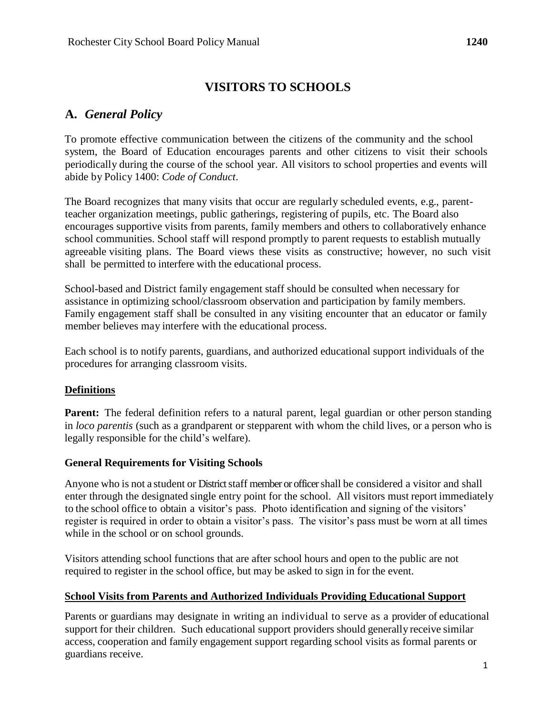# **VISITORS TO SCHOOLS**

# **A.** *General Policy*

To promote effective communication between the citizens of the community and the school system, the Board of Education encourages parents and other citizens to visit their schools periodically during the course of the school year. All visitors to school properties and events will abide by Policy 1400: *Code of Conduct*.

The Board recognizes that many visits that occur are regularly scheduled events, e.g., parentteacher organization meetings, public gatherings, registering of pupils, etc. The Board also encourages supportive visits from parents, family members and others to collaboratively enhance school communities. School staff will respond promptly to parent requests to establish mutually agreeable visiting plans. The Board views these visits as constructive; however, no such visit shall be permitted to interfere with the educational process.

School-based and District family engagement staff should be consulted when necessary for assistance in optimizing school/classroom observation and participation by family members. Family engagement staff shall be consulted in any visiting encounter that an educator or family member believes may interfere with the educational process.

Each school is to notify parents, guardians, and authorized educational support individuals of the procedures for arranging classroom visits.

## **Definitions**

**Parent:** The federal definition refers to a natural parent, legal guardian or other person standing in *loco parentis* (such as a grandparent or stepparent with whom the child lives, or a person who is legally responsible for the child's welfare).

## **General Requirements for Visiting Schools**

Anyone who is not a student or District staff member or officer shall be considered a visitor and shall enter through the designated single entry point for the school. All visitors must report immediately to the school office to obtain a visitor's pass. Photo identification and signing of the visitors' register is required in order to obtain a visitor's pass. The visitor's pass must be worn at all times while in the school or on school grounds.

Visitors attending school functions that are after school hours and open to the public are not required to register in the school office, but may be asked to sign in for the event.

#### **School Visits from Parents and Authorized Individuals Providing Educational Support**

Parents or guardians may designate in writing an individual to serve as a provider of educational support for their children. Such educational support providers should generally receive similar access, cooperation and family engagement support regarding school visits as formal parents or guardians receive.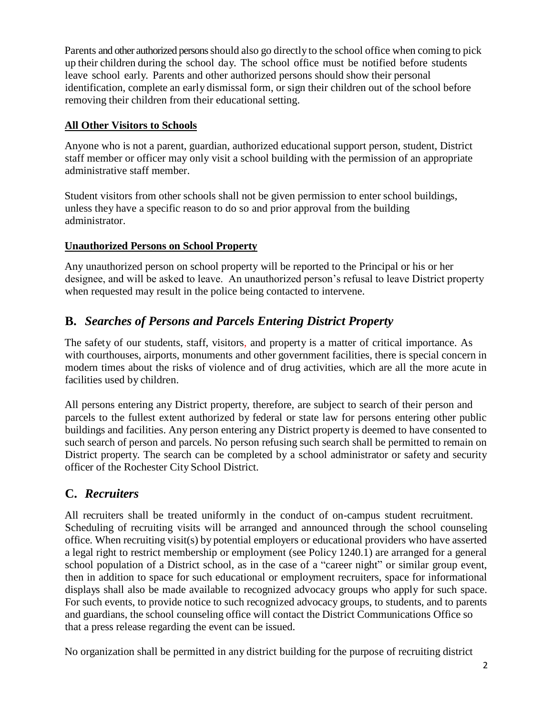Parents and other authorized persons should also go directly to the school office when coming to pick up their children during the school day. The school office must be notified before students leave school early. Parents and other authorized persons should show their personal identification, complete an early dismissal form, or sign their children out of the school before removing their children from their educational setting.

## **All Other Visitors to Schools**

Anyone who is not a parent, guardian, authorized educational support person, student, District staff member or officer may only visit a school building with the permission of an appropriate administrative staff member.

Student visitors from other schools shall not be given permission to enter school buildings, unless they have a specific reason to do so and prior approval from the building administrator.

## **Unauthorized Persons on School Property**

Any unauthorized person on school property will be reported to the Principal or his or her designee, and will be asked to leave. An unauthorized person's refusal to leave District property when requested may result in the police being contacted to intervene.

# **B.** *Searches of Persons and Parcels Entering District Property*

The safety of our students, staff, visitors, and property is a matter of critical importance. As with courthouses, airports, monuments and other government facilities, there is special concern in modern times about the risks of violence and of drug activities, which are all the more acute in facilities used by children.

All persons entering any District property, therefore, are subject to search of their person and parcels to the fullest extent authorized by federal or state law for persons entering other public buildings and facilities. Any person entering any District property is deemed to have consented to such search of person and parcels. No person refusing such search shall be permitted to remain on District property. The search can be completed by a school administrator or safety and security officer of the Rochester City School District.

# **C.** *Recruiters*

All recruiters shall be treated uniformly in the conduct of on-campus student recruitment. Scheduling of recruiting visits will be arranged and announced through the school counseling office. When recruiting visit(s) by potential employers or educational providers who have asserted a legal right to restrict membership or employment (see Policy 1240.1) are arranged for a general school population of a District school, as in the case of a "career night" or similar group event, then in addition to space for such educational or employment recruiters, space for informational displays shall also be made available to recognized advocacy groups who apply for such space. For such events, to provide notice to such recognized advocacy groups, to students, and to parents and guardians, the school counseling office will contact the District Communications Office so that a press release regarding the event can be issued.

No organization shall be permitted in any district building for the purpose of recruiting district